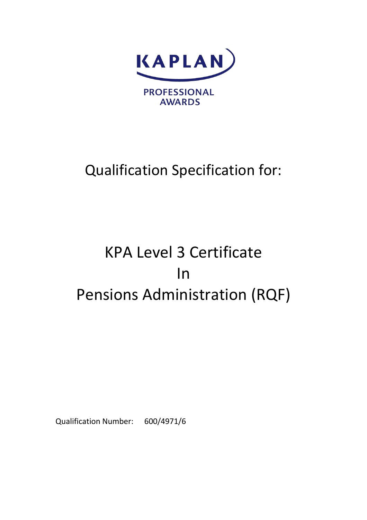

## Qualification Specification for:

# KPA Level 3 Certificate In Pensions Administration (RQF)

Qualification Number: 600/4971/6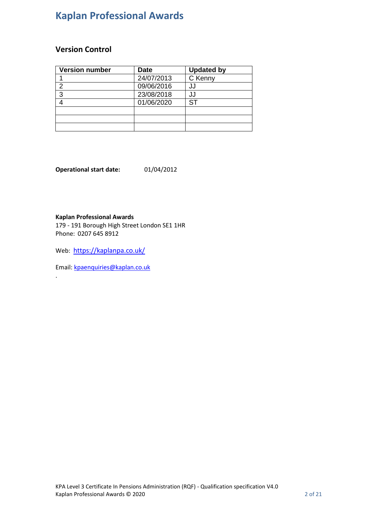#### **Version Control**

| <b>Version number</b> | <b>Date</b> | <b>Updated by</b> |
|-----------------------|-------------|-------------------|
|                       | 24/07/2013  | C Kenny           |
|                       | 09/06/2016  | JJ                |
| 3                     | 23/08/2018  | JJ                |
|                       | 01/06/2020  | <b>ST</b>         |
|                       |             |                   |
|                       |             |                   |
|                       |             |                   |

**Operational start date:** 01/04/2012

**Kaplan Professional Awards**

179 - 191 Borough High Street London SE1 1HR Phone: 0207 645 8912

Web: <https://kaplanpa.co.uk/>

Email: [kpaenquiries@kaplan.co.uk](mailto:kpaenquiries@kaplan.co.uk)

.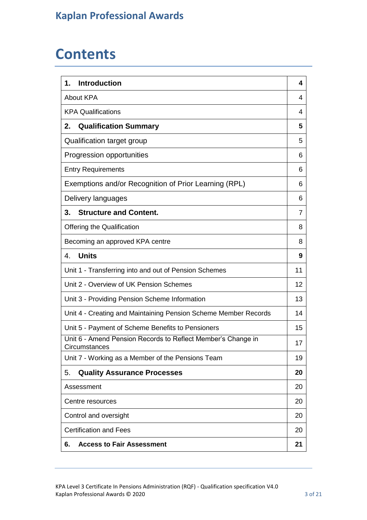## **Contents**

| <b>Introduction</b><br>1.                                                     | 4  |  |  |
|-------------------------------------------------------------------------------|----|--|--|
| <b>About KPA</b>                                                              | 4  |  |  |
| <b>KPA Qualifications</b>                                                     | 4  |  |  |
| <b>Qualification Summary</b><br>2.                                            | 5  |  |  |
| Qualification target group                                                    | 5  |  |  |
| Progression opportunities                                                     | 6  |  |  |
| <b>Entry Requirements</b>                                                     | 6  |  |  |
| Exemptions and/or Recognition of Prior Learning (RPL)                         | 6  |  |  |
| Delivery languages                                                            | 6  |  |  |
| 3.<br><b>Structure and Content.</b>                                           | 7  |  |  |
| <b>Offering the Qualification</b>                                             | 8  |  |  |
| Becoming an approved KPA centre                                               | 8  |  |  |
| <b>Units</b><br>4.                                                            | 9  |  |  |
| Unit 1 - Transferring into and out of Pension Schemes                         | 11 |  |  |
| Unit 2 - Overview of UK Pension Schemes                                       |    |  |  |
| Unit 3 - Providing Pension Scheme Information                                 |    |  |  |
| Unit 4 - Creating and Maintaining Pension Scheme Member Records               |    |  |  |
| Unit 5 - Payment of Scheme Benefits to Pensioners                             | 15 |  |  |
| Unit 6 - Amend Pension Records to Reflect Member's Change in<br>Circumstances | 17 |  |  |
| Unit 7 - Working as a Member of the Pensions Team                             | 19 |  |  |
| <b>Quality Assurance Processes</b><br>5.                                      | 20 |  |  |
| Assessment                                                                    | 20 |  |  |
| Centre resources                                                              |    |  |  |
| Control and oversight                                                         |    |  |  |
| <b>Certification and Fees</b>                                                 | 20 |  |  |
| <b>Access to Fair Assessment</b><br>6.                                        | 21 |  |  |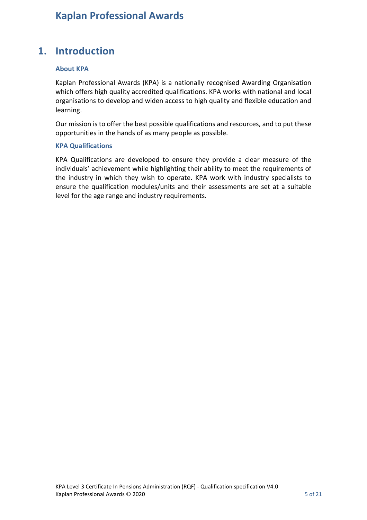### **1. Introduction**

#### **About KPA**

Kaplan Professional Awards (KPA) is a nationally recognised Awarding Organisation which offers high quality accredited qualifications. KPA works with national and local organisations to develop and widen access to high quality and flexible education and learning.

Our mission is to offer the best possible qualifications and resources, and to put these opportunities in the hands of as many people as possible.

#### <span id="page-4-0"></span>**KPA Qualifications**

KPA Qualifications are developed to ensure they provide a clear measure of the individuals' achievement while highlighting their ability to meet the requirements of the industry in which they wish to operate. KPA work with industry specialists to ensure the qualification modules/units and their assessments are set at a suitable level for the age range and industry requirements.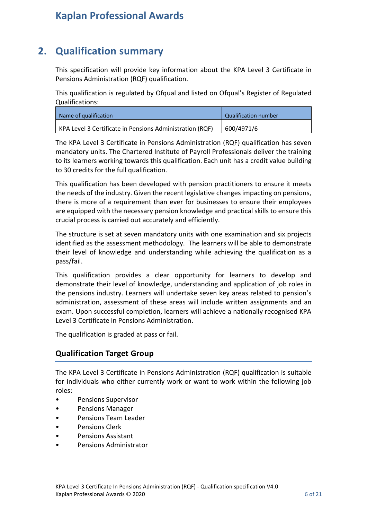### <span id="page-5-0"></span>**2. Qualification summary**

<span id="page-5-1"></span>This specification will provide key information about the KPA Level 3 Certificate in Pensions Administration (RQF) qualification.

This qualification is regulated by Ofqual and listed on Ofqual's Register of Regulated Qualifications:

| Name of qualification                                    | Qualification number |
|----------------------------------------------------------|----------------------|
| KPA Level 3 Certificate in Pensions Administration (RQF) | 600/4971/6           |

The KPA Level 3 Certificate in Pensions Administration (RQF) qualification has seven mandatory units. The Chartered Institute of Payroll Professionals deliver the training to its learners working towards this qualification. Each unit has a credit value building to 30 credits for the full qualification.

This qualification has been developed with pension practitioners to ensure it meets the needs of the industry. Given the recent legislative changes impacting on pensions, there is more of a requirement than ever for businesses to ensure their employees are equipped with the necessary pension knowledge and practical skills to ensure this crucial process is carried out accurately and efficiently.

The structure is set at seven mandatory units with one examination and six projects identified as the assessment methodology. The learners will be able to demonstrate their level of knowledge and understanding while achieving the qualification as a pass/fail.

This qualification provides a clear opportunity for learners to develop and demonstrate their level of knowledge, understanding and application of job roles in the pensions industry. Learners will undertake seven key areas related to pension's administration, assessment of these areas will include written assignments and an exam. Upon successful completion, learners will achieve a nationally recognised KPA Level 3 Certificate in Pensions Administration.

The qualification is graded at pass or fail.

#### **Qualification Target Group**

The KPA Level 3 Certificate in Pensions Administration (RQF) qualification is suitable for individuals who either currently work or want to work within the following job roles:

- Pensions Supervisor
- Pensions Manager
- Pensions Team Leader
- Pensions Clerk
- Pensions Assistant
- Pensions Administrator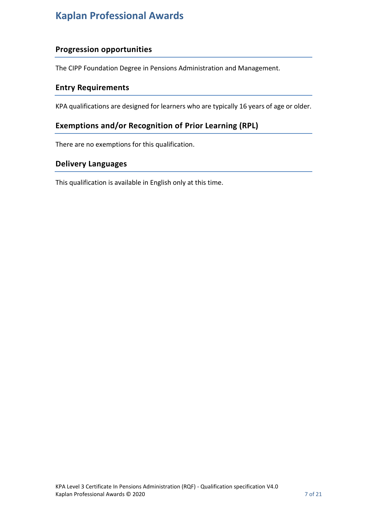#### **Progression opportunities**

<span id="page-6-2"></span>The CIPP Foundation Degree in Pensions Administration and Management.

#### **Entry Requirements**

<span id="page-6-1"></span>KPA qualifications are designed for learners who are typically 16 years of age or older.

#### **Exemptions and/or Recognition of Prior Learning (RPL)**

There are no exemptions for this qualification.

#### **Delivery Languages**

<span id="page-6-0"></span>This qualification is available in English only at this time.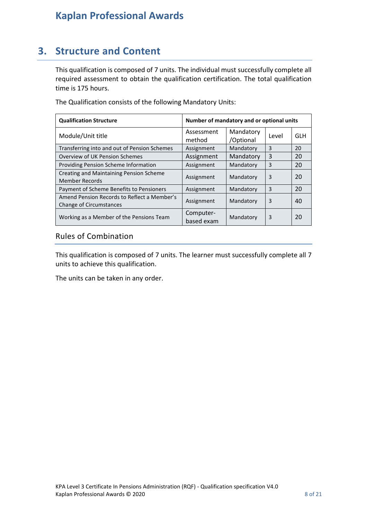### **3. Structure and Content**

This qualification is composed of 7 units. The individual must successfully complete all required assessment to obtain the qualification certification. The total qualification time is 175 hours.

| <b>Qualification Structure</b>                                         | Number of mandatory and or optional units |                        |       |     |
|------------------------------------------------------------------------|-------------------------------------------|------------------------|-------|-----|
| Module/Unit title                                                      | Assessment<br>method                      | Mandatory<br>/Optional | Level | GLH |
| Transferring into and out of Pension Schemes                           | Assignment                                | Mandatory              | 3     | 20  |
| Overview of UK Pension Schemes                                         | Assignment                                | Mandatory              | 3     | 20  |
| Providing Pension Scheme Information                                   | Assignment                                | Mandatory              | 3     | 20  |
| Creating and Maintaining Pension Scheme<br>Member Records              | Assignment                                | Mandatory              | 3     | 20  |
| Payment of Scheme Benefits to Pensioners                               | Assignment                                | Mandatory              | 3     | 20  |
| Amend Pension Records to Reflect a Member's<br>Change of Circumstances | Assignment                                | Mandatory              | 3     | 40  |
| Working as a Member of the Pensions Team                               | Computer-<br>based exam                   | Mandatory              | 3     | 20  |

The Qualification consists of the following Mandatory Units:

#### Rules of Combination

This qualification is composed of 7 units. The learner must successfully complete all 7 units to achieve this qualification.

The units can be taken in any order.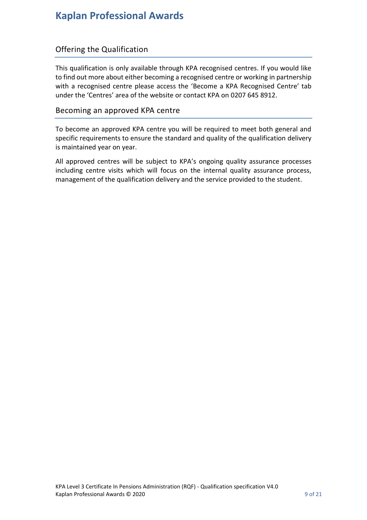#### <span id="page-8-0"></span>Offering the Qualification

This qualification is only available through KPA recognised centres. If you would like to find out more about either becoming a recognised centre or working in partnership with a recognised centre please access the 'Become a KPA Recognised Centre' tab under the 'Centres' area of the website or contact KPA on 0207 645 8912.

#### Becoming an approved KPA centre

To become an approved KPA centre you will be required to meet both general and specific requirements to ensure the standard and quality of the qualification delivery is maintained year on year.

All approved centres will be subject to KPA's ongoing quality assurance processes including centre visits which will focus on the internal quality assurance process, management of the qualification delivery and the service provided to the student.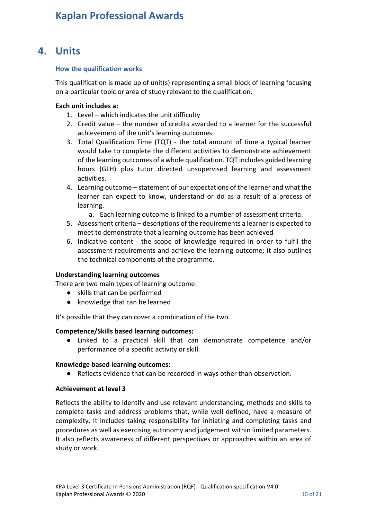### **4. Units**

#### **How the qualification works**

This qualification is made up of unit(s) representing a small block of learning focusing on a particular topic or area of study relevant to the qualification.

#### **Each unit includes a:**

- 1. Level which indicates the unit difficulty
- 2. Credit value the number of credits awarded to a learner for the successful achievement of the unit's learning outcomes
- 3. Total Qualification Time (TQT) the total amount of time a typical learner would take to complete the different activities to demonstrate achievement of the learning outcomes of a whole qualification. TQT includes guided learning hours (GLH) plus tutor directed unsupervised learning and assessment activities.
- 4. Learning outcome statement of our expectations of the learner and what the learner can expect to know, understand or do as a result of a process of learning.

a. Each learning outcome is linked to a number of assessment criteria.

- 5. Assessment criteria descriptions of the requirements a learner is expected to meet to demonstrate that a learning outcome has been achieved
- 6. Indicative content the scope of knowledge required in order to fulfil the assessment requirements and achieve the learning outcome; it also outlines the technical components of the programme.

#### **Understanding learning outcomes**

There are two main types of learning outcome:

- skills that can be performed
- knowledge that can be learned

It's possible that they can cover a combination of the two.

#### **Competence/Skills based learning outcomes:**

● Linked to a practical skill that can demonstrate competence and/or performance of a specific activity or skill.

#### **Knowledge based learning outcomes:**

● Reflects evidence that can be recorded in ways other than observation.

#### **Achievement at level 3**

<span id="page-9-0"></span>Reflects the ability to identify and use relevant understanding, methods and skills to complete tasks and address problems that, while well defined, have a measure of complexity. It includes taking responsibility for initiating and completing tasks and procedures as well as exercising autonomy and judgement within limited parameters. It also reflects awareness of different perspectives or approaches within an area of study or work.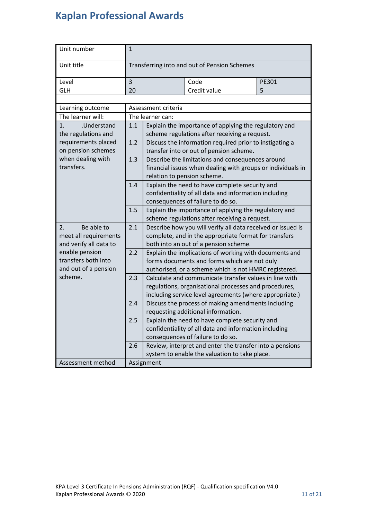<span id="page-10-0"></span>

| Unit number                              | $\mathbf{1}$                                 |                                                        |                                                                                                        |       |
|------------------------------------------|----------------------------------------------|--------------------------------------------------------|--------------------------------------------------------------------------------------------------------|-------|
| Unit title                               | Transferring into and out of Pension Schemes |                                                        |                                                                                                        |       |
| Level                                    | 3                                            |                                                        | Code                                                                                                   | PE301 |
| <b>GLH</b>                               | 20                                           |                                                        | Credit value                                                                                           | 5     |
|                                          |                                              |                                                        |                                                                                                        |       |
| Learning outcome                         |                                              | Assessment criteria                                    |                                                                                                        |       |
| The learner will:                        |                                              | The learner can:                                       |                                                                                                        |       |
| 1.<br>.Understand<br>the regulations and | 1.1                                          |                                                        | Explain the importance of applying the regulatory and<br>scheme regulations after receiving a request. |       |
| requirements placed                      | 1.2                                          |                                                        | Discuss the information required prior to instigating a                                                |       |
| on pension schemes                       |                                              |                                                        | transfer into or out of pension scheme.                                                                |       |
| when dealing with                        | 1.3                                          |                                                        | Describe the limitations and consequences around                                                       |       |
| transfers.                               |                                              |                                                        | financial issues when dealing with groups or individuals in                                            |       |
|                                          |                                              | relation to pension scheme.                            |                                                                                                        |       |
|                                          | 1.4                                          |                                                        | Explain the need to have complete security and                                                         |       |
|                                          |                                              |                                                        | confidentiality of all data and information including                                                  |       |
|                                          |                                              | consequences of failure to do so.                      |                                                                                                        |       |
|                                          | 1.5                                          | Explain the importance of applying the regulatory and  |                                                                                                        |       |
|                                          |                                              | scheme regulations after receiving a request.          |                                                                                                        |       |
| Be able to<br>2.                         | 2.1                                          |                                                        | Describe how you will verify all data received or issued is                                            |       |
| meet all requirements                    |                                              | complete, and in the appropriate format for transfers  |                                                                                                        |       |
| and verify all data to                   |                                              | both into an out of a pension scheme.                  |                                                                                                        |       |
| enable pension                           | 2.2                                          | Explain the implications of working with documents and |                                                                                                        |       |
| transfers both into                      |                                              |                                                        | forms documents and forms which are not duly                                                           |       |
| and out of a pension                     |                                              |                                                        | authorised, or a scheme which is not HMRC registered.                                                  |       |
| scheme.                                  | 2.3                                          |                                                        | Calculate and communicate transfer values in line with                                                 |       |
|                                          |                                              |                                                        | regulations, organisational processes and procedures,                                                  |       |
|                                          |                                              |                                                        | including service level agreements (where appropriate.)                                                |       |
|                                          | 2.4                                          |                                                        | Discuss the process of making amendments including                                                     |       |
|                                          |                                              |                                                        | requesting additional information.                                                                     |       |
|                                          | 2.5                                          |                                                        | Explain the need to have complete security and                                                         |       |
|                                          |                                              |                                                        | confidentiality of all data and information including                                                  |       |
|                                          |                                              |                                                        | consequences of failure to do so.                                                                      |       |
|                                          | 2.6                                          |                                                        | Review, interpret and enter the transfer into a pensions                                               |       |
|                                          |                                              |                                                        | system to enable the valuation to take place.                                                          |       |
| Assessment method                        | Assignment                                   |                                                        |                                                                                                        |       |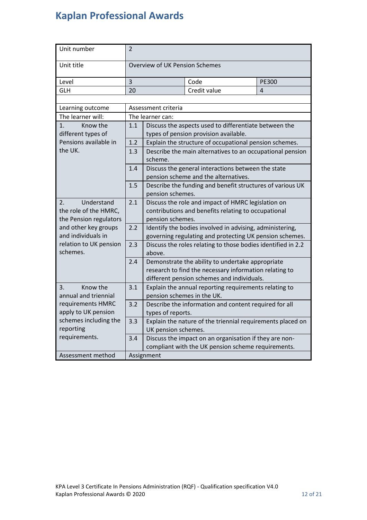| Unit number                        | $\overline{2}$                                            |                                                                               |                                                                                            |              |  |
|------------------------------------|-----------------------------------------------------------|-------------------------------------------------------------------------------|--------------------------------------------------------------------------------------------|--------------|--|
| Unit title                         |                                                           | Overview of UK Pension Schemes                                                |                                                                                            |              |  |
| Level                              | 3                                                         |                                                                               | Code                                                                                       | <b>PE300</b> |  |
| <b>GLH</b>                         | 20                                                        |                                                                               | Credit value                                                                               | 4            |  |
|                                    |                                                           |                                                                               |                                                                                            |              |  |
| Learning outcome                   |                                                           | Assessment criteria                                                           |                                                                                            |              |  |
| The learner will:                  |                                                           | The learner can:                                                              |                                                                                            |              |  |
| Know the<br>1.                     | 1.1                                                       |                                                                               | Discuss the aspects used to differentiate between the                                      |              |  |
| different types of                 |                                                           |                                                                               | types of pension provision available.                                                      |              |  |
| Pensions available in              | 1.2                                                       |                                                                               | Explain the structure of occupational pension schemes.                                     |              |  |
| the UK.                            | 1.3                                                       | scheme.                                                                       | Describe the main alternatives to an occupational pension                                  |              |  |
|                                    | 1.4                                                       |                                                                               | Discuss the general interactions between the state<br>pension scheme and the alternatives. |              |  |
|                                    | 1.5                                                       | Describe the funding and benefit structures of various UK<br>pension schemes. |                                                                                            |              |  |
| Understand<br>2.                   | 2.1<br>Discuss the role and impact of HMRC legislation on |                                                                               |                                                                                            |              |  |
| the role of the HMRC,              |                                                           | contributions and benefits relating to occupational                           |                                                                                            |              |  |
| the Pension regulators             |                                                           | pension schemes.                                                              |                                                                                            |              |  |
| and other key groups               | 2.2                                                       | Identify the bodies involved in advising, administering,                      |                                                                                            |              |  |
| and individuals in                 |                                                           | governing regulating and protecting UK pension schemes.                       |                                                                                            |              |  |
| relation to UK pension<br>schemes. | 2.3                                                       | above.                                                                        | Discuss the roles relating to those bodies identified in 2.2                               |              |  |
|                                    | 2.4                                                       |                                                                               | Demonstrate the ability to undertake appropriate                                           |              |  |
|                                    |                                                           |                                                                               | research to find the necessary information relating to                                     |              |  |
|                                    |                                                           |                                                                               | different pension schemes and individuals.                                                 |              |  |
| Know the<br>3.                     | 3.1                                                       |                                                                               | Explain the annual reporting requirements relating to                                      |              |  |
| annual and triennial               |                                                           | pension schemes in the UK.                                                    |                                                                                            |              |  |
| requirements HMRC                  | 3.2                                                       |                                                                               | Describe the information and content required for all                                      |              |  |
| apply to UK pension                |                                                           | types of reports.                                                             |                                                                                            |              |  |
| schemes including the              | 3.3                                                       | Explain the nature of the triennial requirements placed on                    |                                                                                            |              |  |
| reporting                          |                                                           | UK pension schemes.                                                           |                                                                                            |              |  |
| requirements.                      | 3.4                                                       |                                                                               | Discuss the impact on an organisation if they are non-                                     |              |  |
|                                    |                                                           |                                                                               | compliant with the UK pension scheme requirements.                                         |              |  |
| Assessment method                  | Assignment                                                |                                                                               |                                                                                            |              |  |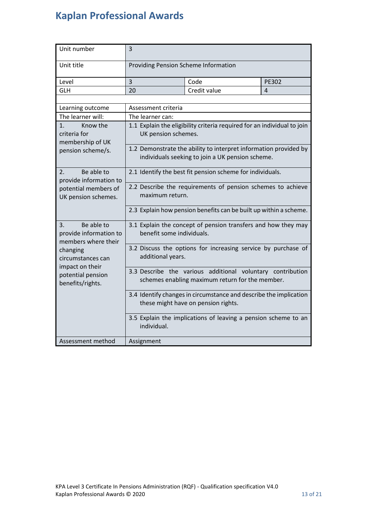| Unit number                                                       | $\overline{3}$                                                                                                       |                                                                         |       |  |
|-------------------------------------------------------------------|----------------------------------------------------------------------------------------------------------------------|-------------------------------------------------------------------------|-------|--|
| Unit title                                                        | Providing Pension Scheme Information                                                                                 |                                                                         |       |  |
| Level                                                             | 3                                                                                                                    | Code                                                                    | PE302 |  |
| <b>GLH</b>                                                        | 20                                                                                                                   | Credit value                                                            | 4     |  |
|                                                                   |                                                                                                                      |                                                                         |       |  |
| Learning outcome                                                  | Assessment criteria                                                                                                  |                                                                         |       |  |
| The learner will:                                                 | The learner can:                                                                                                     |                                                                         |       |  |
| Know the<br>1.<br>criteria for<br>membership of UK                | UK pension schemes.                                                                                                  | 1.1 Explain the eligibility criteria required for an individual to join |       |  |
| pension scheme/s.                                                 | 1.2 Demonstrate the ability to interpret information provided by<br>individuals seeking to join a UK pension scheme. |                                                                         |       |  |
| Be able to<br>2.<br>provide information to                        |                                                                                                                      | 2.1 Identify the best fit pension scheme for individuals.               |       |  |
| potential members of<br>UK pension schemes.                       | 2.2 Describe the requirements of pension schemes to achieve<br>maximum return.                                       |                                                                         |       |  |
|                                                                   | 2.3 Explain how pension benefits can be built up within a scheme.                                                    |                                                                         |       |  |
| Be able to<br>3.<br>provide information to<br>members where their | benefit some individuals.                                                                                            | 3.1 Explain the concept of pension transfers and how they may           |       |  |
| changing<br>circumstances can                                     | 3.2 Discuss the options for increasing service by purchase of<br>additional years.                                   |                                                                         |       |  |
| impact on their<br>potential pension<br>benefits/rights.          | 3.3 Describe the various additional voluntary contribution<br>schemes enabling maximum return for the member.        |                                                                         |       |  |
|                                                                   | 3.4 Identify changes in circumstance and describe the implication<br>these might have on pension rights.             |                                                                         |       |  |
|                                                                   | 3.5 Explain the implications of leaving a pension scheme to an<br>individual.                                        |                                                                         |       |  |
| Assessment method                                                 | Assignment                                                                                                           |                                                                         |       |  |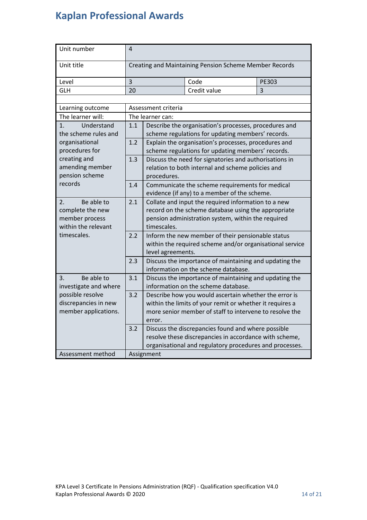| Unit number                                                                                  | $\overline{4}$ |                                                                                                                                                                                        |                                                                                                                                                                         |              |  |
|----------------------------------------------------------------------------------------------|----------------|----------------------------------------------------------------------------------------------------------------------------------------------------------------------------------------|-------------------------------------------------------------------------------------------------------------------------------------------------------------------------|--------------|--|
| Unit title                                                                                   |                | Creating and Maintaining Pension Scheme Member Records                                                                                                                                 |                                                                                                                                                                         |              |  |
| Level                                                                                        | 3              |                                                                                                                                                                                        | Code                                                                                                                                                                    | <b>PE303</b> |  |
| <b>GLH</b>                                                                                   | 20             |                                                                                                                                                                                        | Credit value                                                                                                                                                            | 3            |  |
|                                                                                              |                |                                                                                                                                                                                        |                                                                                                                                                                         |              |  |
| Learning outcome                                                                             |                | Assessment criteria                                                                                                                                                                    |                                                                                                                                                                         |              |  |
| The learner will:                                                                            |                | The learner can:                                                                                                                                                                       |                                                                                                                                                                         |              |  |
| Understand<br>1 <sub>1</sub><br>the scheme rules and                                         | 1.1            |                                                                                                                                                                                        | Describe the organisation's processes, procedures and<br>scheme regulations for updating members' records.                                                              |              |  |
| organisational<br>procedures for                                                             | 1.2            |                                                                                                                                                                                        | Explain the organisation's processes, procedures and                                                                                                                    |              |  |
| creating and<br>amending member<br>pension scheme                                            | 1.3            | scheme regulations for updating members' records.<br>Discuss the need for signatories and authorisations in<br>relation to both internal and scheme policies and<br>procedures.        |                                                                                                                                                                         |              |  |
| records                                                                                      | 1.4            | Communicate the scheme requirements for medical<br>evidence (if any) to a member of the scheme.                                                                                        |                                                                                                                                                                         |              |  |
| Be able to<br>2.<br>complete the new<br>member process<br>within the relevant<br>timescales. | 2.1            | Collate and input the required information to a new<br>record on the scheme database using the appropriate<br>pension administration system, within the required<br>timescales.        |                                                                                                                                                                         |              |  |
|                                                                                              | 2.2            | Inform the new member of their pensionable status<br>within the required scheme and/or organisational service<br>level agreements.                                                     |                                                                                                                                                                         |              |  |
|                                                                                              | 2.3            | Discuss the importance of maintaining and updating the<br>information on the scheme database.                                                                                          |                                                                                                                                                                         |              |  |
| Be able to<br>3.<br>investigate and where                                                    | 3.1            | Discuss the importance of maintaining and updating the<br>information on the scheme database.                                                                                          |                                                                                                                                                                         |              |  |
| possible resolve<br>discrepancies in new<br>member applications.                             | 3.2            | Describe how you would ascertain whether the error is<br>within the limits of your remit or whether it requires a<br>more senior member of staff to intervene to resolve the<br>error. |                                                                                                                                                                         |              |  |
|                                                                                              | 3.2            |                                                                                                                                                                                        | Discuss the discrepancies found and where possible<br>resolve these discrepancies in accordance with scheme,<br>organisational and regulatory procedures and processes. |              |  |
| Assessment method                                                                            |                | Assignment                                                                                                                                                                             |                                                                                                                                                                         |              |  |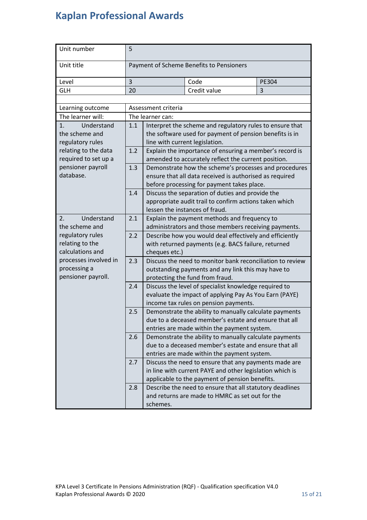| Unit number                                                 | 5                                        |                                                                                                                                                                |                                                                                                                                                                     |       |  |
|-------------------------------------------------------------|------------------------------------------|----------------------------------------------------------------------------------------------------------------------------------------------------------------|---------------------------------------------------------------------------------------------------------------------------------------------------------------------|-------|--|
| Unit title                                                  | Payment of Scheme Benefits to Pensioners |                                                                                                                                                                |                                                                                                                                                                     |       |  |
| Level                                                       | 3                                        |                                                                                                                                                                | Code                                                                                                                                                                | PE304 |  |
| <b>GLH</b>                                                  | 20                                       |                                                                                                                                                                | Credit value                                                                                                                                                        | 3     |  |
|                                                             |                                          |                                                                                                                                                                |                                                                                                                                                                     |       |  |
| Learning outcome                                            |                                          | Assessment criteria                                                                                                                                            |                                                                                                                                                                     |       |  |
| The learner will:                                           |                                          | The learner can:                                                                                                                                               |                                                                                                                                                                     |       |  |
| Understand<br>1.<br>the scheme and<br>regulatory rules      | 1.1                                      | Interpret the scheme and regulatory rules to ensure that<br>the software used for payment of pension benefits is in<br>line with current legislation.          |                                                                                                                                                                     |       |  |
| relating to the data<br>required to set up a                | 1.2                                      |                                                                                                                                                                | Explain the importance of ensuring a member's record is<br>amended to accurately reflect the current position.                                                      |       |  |
| pensioner payroll<br>database.                              | 1.3                                      |                                                                                                                                                                | Demonstrate how the scheme's processes and procedures<br>ensure that all data received is authorised as required<br>before processing for payment takes place.      |       |  |
|                                                             | 1.4                                      | Discuss the separation of duties and provide the<br>appropriate audit trail to confirm actions taken which<br>lessen the instances of fraud.                   |                                                                                                                                                                     |       |  |
| Understand<br>2.<br>the scheme and                          | 2.1                                      |                                                                                                                                                                | Explain the payment methods and frequency to<br>administrators and those members receiving payments.                                                                |       |  |
| regulatory rules<br>relating to the<br>calculations and     | 2.2                                      | Describe how you would deal effectively and efficiently<br>with returned payments (e.g. BACS failure, returned<br>cheques etc.)                                |                                                                                                                                                                     |       |  |
| processes involved in<br>processing a<br>pensioner payroll. | 2.3                                      | Discuss the need to monitor bank reconciliation to review<br>outstanding payments and any link this may have to<br>protecting the fund from fraud.             |                                                                                                                                                                     |       |  |
|                                                             | 2.4                                      | Discuss the level of specialist knowledge required to<br>evaluate the impact of applying Pay As You Earn (PAYE)<br>income tax rules on pension payments.       |                                                                                                                                                                     |       |  |
|                                                             | 2.5                                      | Demonstrate the ability to manually calculate payments<br>due to a deceased member's estate and ensure that all<br>entries are made within the payment system. |                                                                                                                                                                     |       |  |
|                                                             | 2.6                                      |                                                                                                                                                                | Demonstrate the ability to manually calculate payments<br>due to a deceased member's estate and ensure that all<br>entries are made within the payment system.      |       |  |
|                                                             | 2.7                                      |                                                                                                                                                                | Discuss the need to ensure that any payments made are<br>in line with current PAYE and other legislation which is<br>applicable to the payment of pension benefits. |       |  |
|                                                             | 2.8                                      | schemes.                                                                                                                                                       | Describe the need to ensure that all statutory deadlines<br>and returns are made to HMRC as set out for the                                                         |       |  |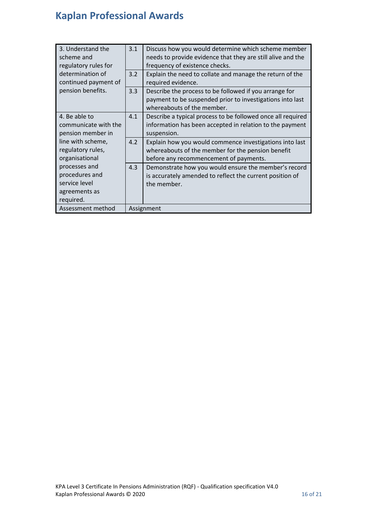| 3. Understand the<br>scheme and<br>regulatory rules for                        | 3.1 | Discuss how you would determine which scheme member<br>needs to provide evidence that they are still alive and the<br>frequency of existence checks.   |
|--------------------------------------------------------------------------------|-----|--------------------------------------------------------------------------------------------------------------------------------------------------------|
| determination of<br>continued payment of                                       | 3.2 | Explain the need to collate and manage the return of the<br>required evidence.                                                                         |
| pension benefits.                                                              | 3.3 | Describe the process to be followed if you arrange for<br>payment to be suspended prior to investigations into last<br>whereabouts of the member.      |
| 4. Be able to<br>communicate with the<br>pension member in                     | 4.1 | Describe a typical process to be followed once all required<br>information has been accepted in relation to the payment<br>suspension.                 |
| line with scheme,<br>regulatory rules,<br>organisational                       | 4.2 | Explain how you would commence investigations into last<br>whereabouts of the member for the pension benefit<br>before any recommencement of payments. |
| processes and<br>procedures and<br>service level<br>agreements as<br>required. | 4.3 | Demonstrate how you would ensure the member's record<br>is accurately amended to reflect the current position of<br>the member.                        |
| Assessment method                                                              |     | Assignment                                                                                                                                             |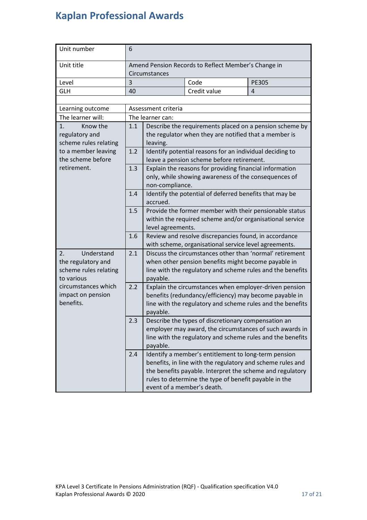| Unit number                                                                   | 6                                                                                                                     |                                                                                                                                          |                                                                                                                                                                                                                                          |                |  |
|-------------------------------------------------------------------------------|-----------------------------------------------------------------------------------------------------------------------|------------------------------------------------------------------------------------------------------------------------------------------|------------------------------------------------------------------------------------------------------------------------------------------------------------------------------------------------------------------------------------------|----------------|--|
| Unit title                                                                    | Amend Pension Records to Reflect Member's Change in<br>Circumstances                                                  |                                                                                                                                          |                                                                                                                                                                                                                                          |                |  |
| Level                                                                         | 3                                                                                                                     |                                                                                                                                          | Code                                                                                                                                                                                                                                     | <b>PE305</b>   |  |
| <b>GLH</b>                                                                    | 40                                                                                                                    |                                                                                                                                          | Credit value                                                                                                                                                                                                                             | $\overline{4}$ |  |
|                                                                               |                                                                                                                       |                                                                                                                                          |                                                                                                                                                                                                                                          |                |  |
| Learning outcome                                                              |                                                                                                                       | Assessment criteria                                                                                                                      |                                                                                                                                                                                                                                          |                |  |
| The learner will:                                                             |                                                                                                                       | The learner can:                                                                                                                         |                                                                                                                                                                                                                                          |                |  |
| Know the<br>1.                                                                | 1.1                                                                                                                   | Describe the requirements placed on a pension scheme by                                                                                  |                                                                                                                                                                                                                                          |                |  |
| regulatory and<br>scheme rules relating                                       |                                                                                                                       | the regulator when they are notified that a member is<br>leaving.                                                                        |                                                                                                                                                                                                                                          |                |  |
| to a member leaving<br>the scheme before                                      | 1.2                                                                                                                   |                                                                                                                                          | Identify potential reasons for an individual deciding to<br>leave a pension scheme before retirement.                                                                                                                                    |                |  |
| retirement.                                                                   | 1.3                                                                                                                   | Explain the reasons for providing financial information<br>only, while showing awareness of the consequences of<br>non-compliance.       |                                                                                                                                                                                                                                          |                |  |
|                                                                               | 1.4                                                                                                                   | Identify the potential of deferred benefits that may be<br>accrued.                                                                      |                                                                                                                                                                                                                                          |                |  |
|                                                                               | 1.5                                                                                                                   | Provide the former member with their pensionable status<br>within the required scheme and/or organisational service<br>level agreements. |                                                                                                                                                                                                                                          |                |  |
|                                                                               | 1.6<br>Review and resolve discrepancies found, in accordance<br>with scheme, organisational service level agreements. |                                                                                                                                          |                                                                                                                                                                                                                                          |                |  |
| Understand<br>2.<br>the regulatory and<br>scheme rules relating<br>to various | 2.1                                                                                                                   | payable.                                                                                                                                 | Discuss the circumstances other than 'normal' retirement<br>when other pension benefits might become payable in<br>line with the regulatory and scheme rules and the benefits                                                            |                |  |
| circumstances which<br>impact on pension<br>benefits.                         | 2.2                                                                                                                   | payable.                                                                                                                                 | Explain the circumstances when employer-driven pension<br>benefits (redundancy/efficiency) may become payable in<br>line with the regulatory and scheme rules and the benefits                                                           |                |  |
|                                                                               | 2.3                                                                                                                   | payable.                                                                                                                                 | Describe the types of discretionary compensation an<br>employer may award, the circumstances of such awards in<br>line with the regulatory and scheme rules and the benefits                                                             |                |  |
|                                                                               | 2.4                                                                                                                   | event of a member's death.                                                                                                               | Identify a member's entitlement to long-term pension<br>benefits, in line with the regulatory and scheme rules and<br>the benefits payable. Interpret the scheme and regulatory<br>rules to determine the type of benefit payable in the |                |  |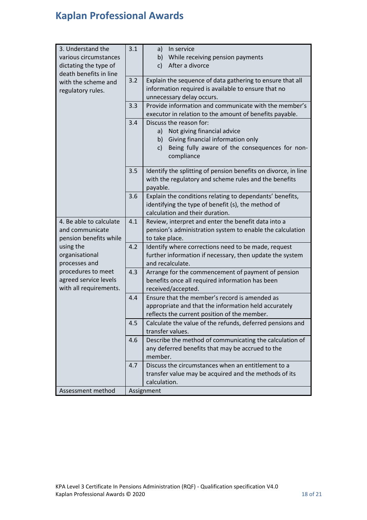| 3. Understand the       | 3.1 | In service<br>a)                                               |
|-------------------------|-----|----------------------------------------------------------------|
| various circumstances   |     | b) While receiving pension payments                            |
| dictating the type of   |     | After a divorce<br>c)                                          |
| death benefits in line  |     |                                                                |
| with the scheme and     | 3.2 | Explain the sequence of data gathering to ensure that all      |
| regulatory rules.       |     | information required is available to ensure that no            |
|                         |     | unnecessary delay occurs.                                      |
|                         | 3.3 | Provide information and communicate with the member's          |
|                         |     | executor in relation to the amount of benefits payable.        |
|                         | 3.4 | Discuss the reason for:                                        |
|                         |     | Not giving financial advice<br>a)                              |
|                         |     | Giving financial information only<br>b)                        |
|                         |     | Being fully aware of the consequences for non-<br>c)           |
|                         |     | compliance                                                     |
|                         |     |                                                                |
|                         | 3.5 | Identify the splitting of pension benefits on divorce, in line |
|                         |     | with the regulatory and scheme rules and the benefits          |
|                         |     | payable.                                                       |
|                         | 3.6 | Explain the conditions relating to dependants' benefits,       |
|                         |     | identifying the type of benefit (s), the method of             |
|                         |     | calculation and their duration.                                |
| 4. Be able to calculate | 4.1 | Review, interpret and enter the benefit data into a            |
| and communicate         |     | pension's administration system to enable the calculation      |
| pension benefits while  |     | to take place.                                                 |
| using the               | 4.2 | Identify where corrections need to be made, request            |
| organisational          |     | further information if necessary, then update the system       |
| processes and           |     | and recalculate.                                               |
| procedures to meet      | 4.3 | Arrange for the commencement of payment of pension             |
| agreed service levels   |     | benefits once all required information has been                |
| with all requirements.  |     | received/accepted.                                             |
|                         | 4.4 | Ensure that the member's record is amended as                  |
|                         |     | appropriate and that the information held accurately           |
|                         |     | reflects the current position of the member.                   |
|                         | 4.5 | Calculate the value of the refunds, deferred pensions and      |
|                         |     | transfer values.                                               |
|                         | 4.6 | Describe the method of communicating the calculation of        |
|                         |     | any deferred benefits that may be accrued to the               |
|                         |     | member.                                                        |
|                         | 4.7 | Discuss the circumstances when an entitlement to a             |
|                         |     | transfer value may be acquired and the methods of its          |
|                         |     | calculation.                                                   |
| Assessment method       |     | Assignment                                                     |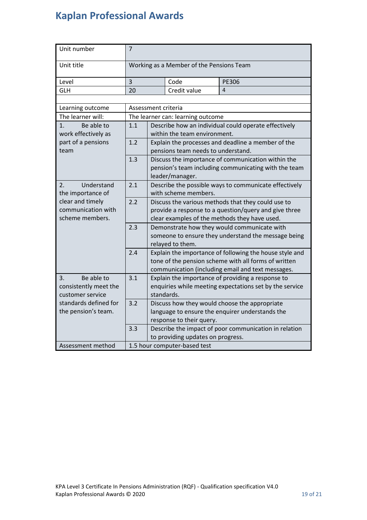| Unit number                                                                                                   | $\overline{7}$                           |                                                                                                                                                                      |              |                         |
|---------------------------------------------------------------------------------------------------------------|------------------------------------------|----------------------------------------------------------------------------------------------------------------------------------------------------------------------|--------------|-------------------------|
| Unit title                                                                                                    | Working as a Member of the Pensions Team |                                                                                                                                                                      |              |                         |
| Level                                                                                                         | $\overline{3}$                           |                                                                                                                                                                      | Code         | <b>PE306</b>            |
| <b>GLH</b>                                                                                                    | 20                                       |                                                                                                                                                                      | Credit value | $\overline{\mathbf{A}}$ |
|                                                                                                               |                                          |                                                                                                                                                                      |              |                         |
| Learning outcome                                                                                              | Assessment criteria                      |                                                                                                                                                                      |              |                         |
| The learner will:                                                                                             | The learner can: learning outcome        |                                                                                                                                                                      |              |                         |
| Be able to<br>1.<br>work effectively as<br>part of a pensions<br>team                                         | 1.1                                      | Describe how an individual could operate effectively<br>within the team environment.                                                                                 |              |                         |
|                                                                                                               | 1.2                                      | Explain the processes and deadline a member of the<br>pensions team needs to understand.                                                                             |              |                         |
|                                                                                                               | 1.3                                      | Discuss the importance of communication within the<br>pension's team including communicating with the team<br>leader/manager.                                        |              |                         |
| Understand<br>2.<br>the importance of<br>clear and timely<br>communication with<br>scheme members.            | 2.1                                      | Describe the possible ways to communicate effectively<br>with scheme members.                                                                                        |              |                         |
|                                                                                                               | 2.2                                      | Discuss the various methods that they could use to<br>provide a response to a question/query and give three<br>clear examples of the methods they have used.         |              |                         |
|                                                                                                               | 2.3                                      | Demonstrate how they would communicate with<br>someone to ensure they understand the message being<br>relayed to them.                                               |              |                         |
|                                                                                                               | 2.4                                      | Explain the importance of following the house style and<br>tone of the pension scheme with all forms of written<br>communication (including email and text messages. |              |                         |
| Be able to<br>3.<br>consistently meet the<br>customer service<br>standards defined for<br>the pension's team. | 3.1                                      | Explain the importance of providing a response to<br>enquiries while meeting expectations set by the service<br>standards.                                           |              |                         |
|                                                                                                               | 3.2                                      | Discuss how they would choose the appropriate<br>language to ensure the enquirer understands the<br>response to their query.                                         |              |                         |
|                                                                                                               | 3.3                                      | Describe the impact of poor communication in relation<br>to providing updates on progress.                                                                           |              |                         |
| Assessment method                                                                                             | 1.5 hour computer-based test             |                                                                                                                                                                      |              |                         |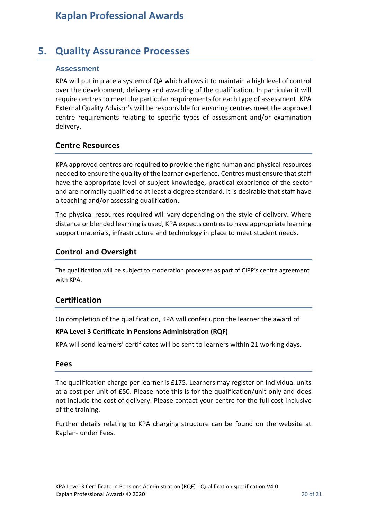### **5. Quality Assurance Processes**

#### <span id="page-19-0"></span>**Assessment**

KPA will put in place a system of QA which allows it to maintain a high level of control over the development, delivery and awarding of the qualification. In particular it will require centres to meet the particular requirements for each type of assessment. KPA External Quality Advisor's will be responsible for ensuring centres meet the approved centre requirements relating to specific types of assessment and/or examination delivery.

#### **Centre Resources**

KPA approved centres are required to provide the right human and physical resources needed to ensure the quality of the learner experience. Centres must ensure that staff have the appropriate level of subject knowledge, practical experience of the sector and are normally qualified to at least a degree standard. It is desirable that staff have a teaching and/or assessing qualification.

The physical resources required will vary depending on the style of delivery. Where distance or blended learning is used, KPA expects centres to have appropriate learning support materials, infrastructure and technology in place to meet student needs.

#### **Control and Oversight**

The qualification will be subject to moderation processes as part of CIPP's centre agreement with KPA.

#### **Certification**

On completion of the qualification, KPA will confer upon the learner the award of

#### **KPA Level 3 Certificate in Pensions Administration (RQF)**

KPA will send learners' certificates will be sent to learners within 21 working days.

#### **Fees**

The qualification charge per learner is £175. Learners may register on individual units at a cost per unit of £50. Please note this is for the qualification/unit only and does not include the cost of delivery. Please contact your centre for the full cost inclusive of the training.

Further details relating to KPA charging structure can be found on the website at Kaplan- under Fees.